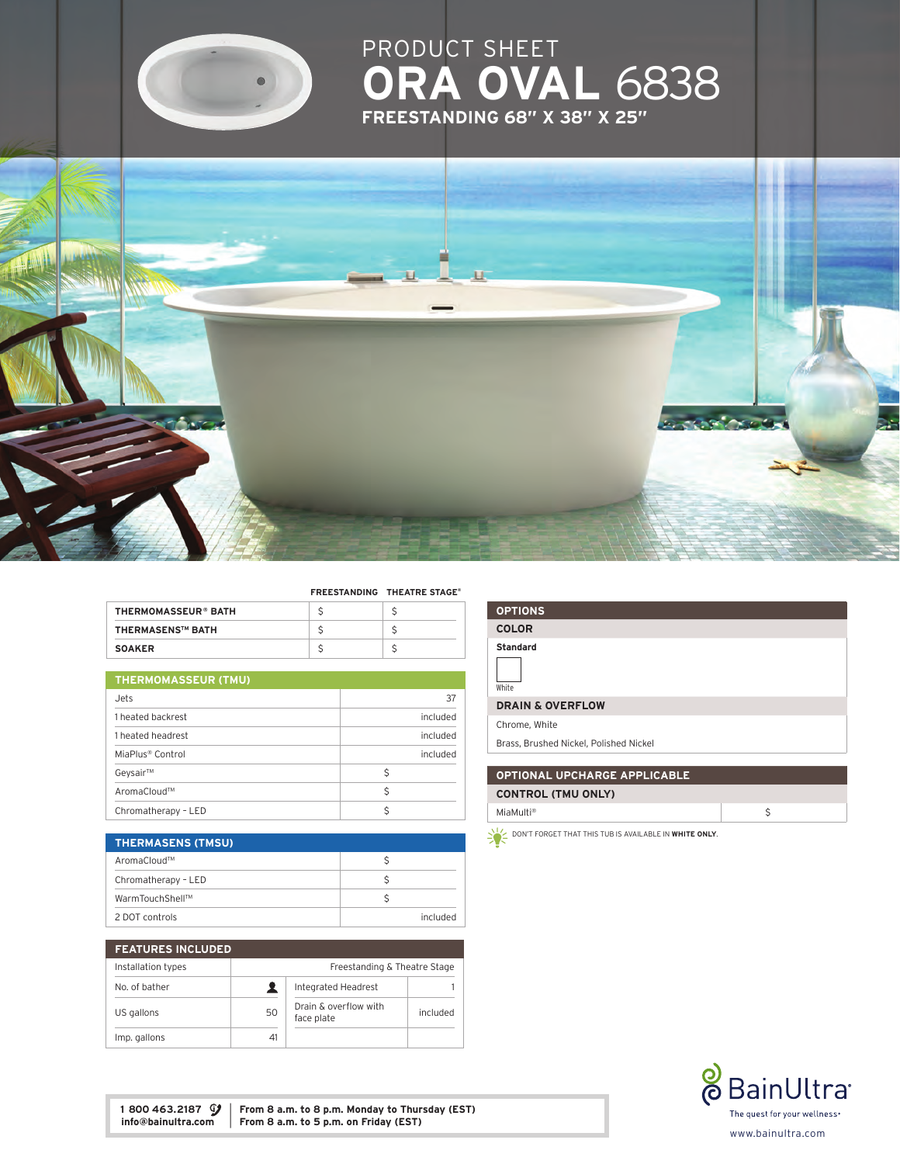

# PRODUCT S **ORA OVAL 6838** freestanding 68" x 38" x 25"



#### freestanding theatre Stage®

| THERMOMASSEUR® BATH     |  |
|-------------------------|--|
| <b>THERMASENS™ BATH</b> |  |
| <b>SOAKER</b>           |  |

# thermomasseur (TMU)

| Jets.                        | 37       |  |
|------------------------------|----------|--|
| 1 heated backrest            | included |  |
| 1 heated headrest            | included |  |
| MiaPlus <sup>®</sup> Control | included |  |
| Geysair™                     | Ś        |  |
| AromaCloud™                  | Ś        |  |
| Chromatherapy - LED          |          |  |

| <b>THERMASENS (TMSU)</b> |          |
|--------------------------|----------|
| AromaCloud™              |          |
| Chromatherapy - LED      |          |
| WarmTouchShell™          |          |
| 2 DOT controls           | hebulani |

| <b>FEATURES INCLUDED</b> |                              |                                     |          |
|--------------------------|------------------------------|-------------------------------------|----------|
| Installation types       | Freestanding & Theatre Stage |                                     |          |
| No. of bather            |                              | Integrated Headrest                 |          |
| US gallons               | 50                           | Drain & overflow with<br>face plate | included |
| Imp. gallons             | 41                           |                                     |          |

| <b>OPTIONS</b>                                  |
|-------------------------------------------------|
| <b>COLOR</b>                                    |
| <b>Standard</b>                                 |
| White                                           |
| <b>DRAIN &amp; OVERFLOW</b>                     |
| Chrome, White                                   |
| <b>Drage, Drugbod Nightel, Deliched Nightel</b> |

### Brass, Brushed Nickel, Polished Nickel

# Optional Upcharge applicable

| <b>CONTROL (TMU ONLY)</b> |  |
|---------------------------|--|
| MiaMulti <sup>®</sup>     |  |

 $\sum_{n=1}^{\infty}$  don't forget that this tub is available in white only.



1 800 463.2187  $\mathcal{G}$  From 8 a.m. to 8 p.m. Monday to Thursday (EST) info@bainultra.com From 8 a.m. to 5 p.m. on Friday (EST) From 8 a.m. to 5 p.m. on Friday (EST)